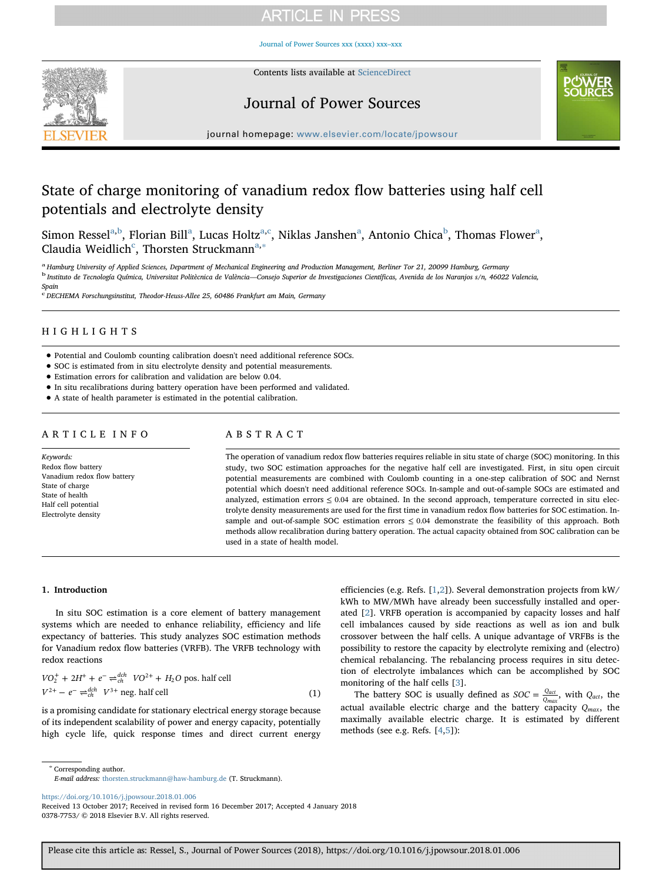# **ARTICLE IN PRESS**

[Journal of Power Sources xxx \(xxxx\) xxx–xxx](https://doi.org/10.1016/j.jpowsour.2018.01.006)



Contents lists available at [ScienceDirect](http://www.sciencedirect.com/science/journal/03787753)

# Journal of Power Sources



journal homepage: [www.elsevier.com/locate/jpowsour](https://www.elsevier.com/locate/jpowsour)

# State of charge monitoring of vanadium redox flow batteries using half cell potentials and electrolyte density

Simon Ressel<sup>[a](#page-0-0),[b](#page-0-1)</sup>, Florian Bill<sup>a</sup>, Lucas Holtz<sup>a[,c](#page-0-2)</sup>, Niklas Janshen<sup>a</sup>, Antonio Chica<sup>b</sup>, Thomas Flower<sup>a</sup>, Cl[a](#page-0-0)udia Weidlich<sup>c</sup>, Thorsten Struckmann<sup>a,[∗](#page-0-3)</sup>

<span id="page-0-1"></span><span id="page-0-0"></span>a Hamburg University of Applied Sciences, Department of Mechanical Engineering and Production Management, Berliner Tor 21, 20099 Hamburg, Germany <sup>b</sup> Instituto de Tecnología Química, Universitat Politècnica de València—Consejo Superior de Investigaciones Científicas, Avenida de los Naranjos s/n, 46022 Valencia, Spain

<span id="page-0-2"></span>c DECHEMA Forschungsinstitut, Theodor-Heuss-Allee 25, 60486 Frankfurt am Main, Germany

## HIGHLIGHTS

- Potential and Coulomb counting calibration doesn't need additional reference SOCs.
- SOC is estimated from in situ electrolyte density and potential measurements.
- Estimation errors for calibration and validation are below 0.04.
- In situ recalibrations during battery operation have been performed and validated.
- A state of health parameter is estimated in the potential calibration.

## ARTICLE INFO

Keywords: Redox flow battery Vanadium redox flow battery State of charge State of health Half cell potential Electrolyte density

### ABSTRACT

The operation of vanadium redox flow batteries requires reliable in situ state of charge (SOC) monitoring. In this study, two SOC estimation approaches for the negative half cell are investigated. First, in situ open circuit potential measurements are combined with Coulomb counting in a one-step calibration of SOC and Nernst potential which doesn't need additional reference SOCs. In-sample and out-of-sample SOCs are estimated and analyzed, estimation errors  $\leq 0.04$  are obtained. In the second approach, temperature corrected in situ electrolyte density measurements are used for the first time in vanadium redox flow batteries for SOC estimation. Insample and out-of-sample SOC estimation errors  $\leq 0.04$  demonstrate the feasibility of this approach. Both methods allow recalibration during battery operation. The actual capacity obtained from SOC calibration can be used in a state of health model.

#### 1. Introduction

In situ SOC estimation is a core element of battery management systems which are needed to enhance reliability, efficiency and life expectancy of batteries. This study analyzes SOC estimation methods for Vanadium redox flow batteries (VRFB). The VRFB technology with redox reactions

$$
VO_2^+ + 2H^+ + e^- \rightleftharpoons_{ch}^{dch} VO^{2+} + H_2O
$$
 pos. half cell  
 $V^{2+} - e^- \rightleftharpoons_{ch}^{dch} V^{3+}$  neg. half cell (1)

is a promising candidate for stationary electrical energy storage because of its independent scalability of power and energy capacity, potentially high cycle life, quick response times and direct current energy efficiencies (e.g. Refs. [\[1,](#page--1-0)[2](#page--1-1)]). Several demonstration projects from kW/ kWh to MW/MWh have already been successfully installed and operated [\[2\]](#page--1-1). VRFB operation is accompanied by capacity losses and half cell imbalances caused by side reactions as well as ion and bulk crossover between the half cells. A unique advantage of VRFBs is the possibility to restore the capacity by electrolyte remixing and (electro) chemical rebalancing. The rebalancing process requires in situ detection of electrolyte imbalances which can be accomplished by SOC monitoring of the half cells [[3](#page--1-2)].

The battery SOC is usually defined as  $SOC = \frac{Q_{act}}{Q_{max}}$ , with  $Q_{act}$ , the actual available electric charge and the battery capacity  $Q_{max}$ , the maximally available electric charge. It is estimated by different methods (see e.g. Refs. [\[4,](#page--1-3)[5](#page--1-4)]):

<span id="page-0-3"></span><sup>∗</sup> Corresponding author. E-mail address: [thorsten.struckmann@haw-hamburg.de](mailto:thorsten.struckmann@haw-hamburg.de) (T. Struckmann).

<https://doi.org/10.1016/j.jpowsour.2018.01.006>

Received 13 October 2017; Received in revised form 16 December 2017; Accepted 4 January 2018 0378-7753/ © 2018 Elsevier B.V. All rights reserved.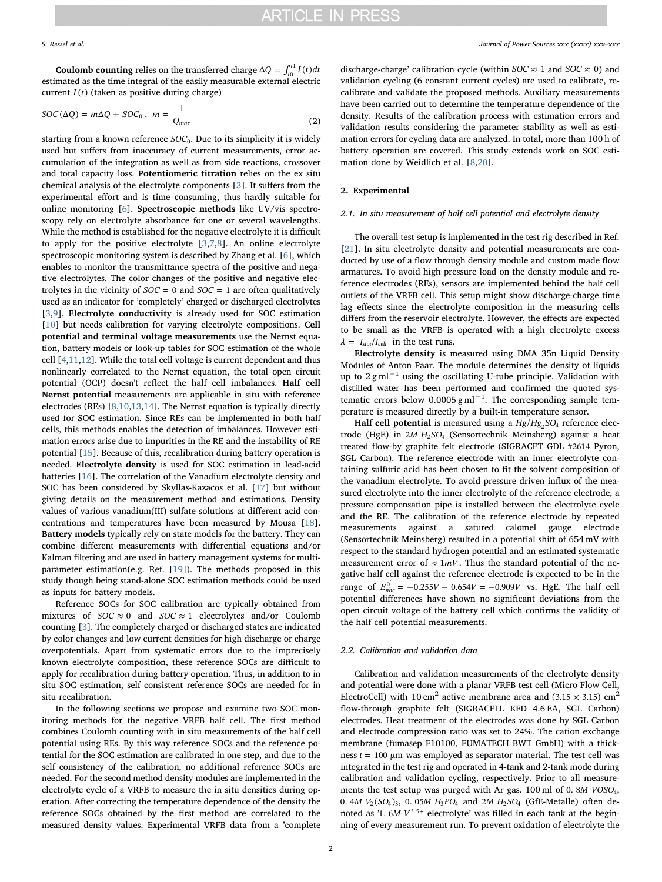**Coulomb counting** relies on the transferred charge  $\Delta Q = \int_{t_0}^{t_1} I(t) dt$  $\mathbf{0}$ 1 estimated as the time integral of the easily measurable external electric current  $I(t)$  (taken as positive during charge)

$$
SOC(\Delta Q) = m\Delta Q + SOC_0, \ m = \frac{1}{Q_{max}} \tag{2}
$$

starting from a known reference *SOC*<sub>0</sub>. Due to its simplicity it is widely used but suffers from inaccuracy of current measurements, error accumulation of the integration as well as from side reactions, crossover and total capacity loss. Potentiomeric titration relies on the ex situ chemical analysis of the electrolyte components [[3](#page--1-2)]. It suffers from the experimental effort and is time consuming, thus hardly suitable for online monitoring [[6](#page--1-5)]. Spectroscopic methods like UV/vis spectroscopy rely on electrolyte absorbance for one or several wavelengths. While the method is established for the negative electrolyte it is difficult to apply for the positive electrolyte  $[3,7,8]$  $[3,7,8]$  $[3,7,8]$  $[3,7,8]$  $[3,7,8]$ . An online electrolyte spectroscopic monitoring system is described by Zhang et al. [\[6](#page--1-5)], which enables to monitor the transmittance spectra of the positive and negative electrolytes. The color changes of the positive and negative electrolytes in the vicinity of  $SOC = 0$  and  $SOC = 1$  are often qualitatively used as an indicator for 'completely' charged or discharged electrolytes [[3](#page--1-2),[9](#page--1-8)]. Electrolyte conductivity is already used for SOC estimation [[10\]](#page--1-9) but needs calibration for varying electrolyte compositions. Cell potential and terminal voltage measurements use the Nernst equation, battery models or look-up tables for SOC estimation of the whole cell  $[4,11,12]$  $[4,11,12]$  $[4,11,12]$  $[4,11,12]$ . While the total cell voltage is current dependent and thus nonlinearly correlated to the Nernst equation, the total open circuit potential (OCP) doesn't reflect the half cell imbalances. Half cell Nernst potential measurements are applicable in situ with reference electrodes (REs) [\[8,](#page--1-7)[10](#page--1-9)[,13](#page--1-12)[,14](#page--1-13)]. The Nernst equation is typically directly used for SOC estimation. Since REs can be implemented in both half cells, this methods enables the detection of imbalances. However estimation errors arise due to impurities in the RE and the instability of RE potential [\[15\]](#page--1-14). Because of this, recalibration during battery operation is needed. Electrolyte density is used for SOC estimation in lead-acid batteries [[16\]](#page--1-15). The correlation of the Vanadium electrolyte density and SOC has been considered by Skyllas-Kazacos et al. [\[17](#page--1-16)] but without giving details on the measurement method and estimations. Density values of various vanadium(III) sulfate solutions at different acid concentrations and temperatures have been measured by Mousa [\[18](#page--1-17)]. Battery models typically rely on state models for the battery. They can combine different measurements with differential equations and/or Kalman filtering and are used in battery management systems for multiparameter estimation(e.g. Ref. [[19\]](#page--1-18)). The methods proposed in this study though being stand-alone SOC estimation methods could be used as inputs for battery models.

Reference SOCs for SOC calibration are typically obtained from mixtures of  $SOC \approx 0$  and  $SOC \approx 1$  electrolytes and/or Coulomb counting [[3](#page--1-2)]. The completely charged or discharged states are indicated by color changes and low current densities for high discharge or charge overpotentials. Apart from systematic errors due to the imprecisely known electrolyte composition, these reference SOCs are difficult to apply for recalibration during battery operation. Thus, in addition to in situ SOC estimation, self consistent reference SOCs are needed for in situ recalibration.

In the following sections we propose and examine two SOC monitoring methods for the negative VRFB half cell. The first method combines Coulomb counting with in situ measurements of the half cell potential using REs. By this way reference SOCs and the reference potential for the SOC estimation are calibrated in one step, and due to the self consistency of the calibration, no additional reference SOCs are needed. For the second method density modules are implemented in the electrolyte cycle of a VRFB to measure the in situ densities during operation. After correcting the temperature dependence of the density the reference SOCs obtained by the first method are correlated to the measured density values. Experimental VRFB data from a 'complete

discharge-charge' calibration cycle (within *SOC*  $\approx$  1 and *SOC*  $\approx$  0) and validation cycling (6 constant current cycles) are used to calibrate, recalibrate and validate the proposed methods. Auxiliary measurements have been carried out to determine the temperature dependence of the density. Results of the calibration process with estimation errors and validation results considering the parameter stability as well as estimation errors for cycling data are analyzed. In total, more than 100 h of battery operation are covered. This study extends work on SOC estimation done by Weidlich et al. [\[8,](#page--1-7)[20\]](#page--1-19).

#### 2. Experimental

#### 2.1. In situ measurement of half cell potential and electrolyte density

The overall test setup is implemented in the test rig described in Ref. [[21\]](#page--1-20). In situ electrolyte density and potential measurements are conducted by use of a flow through density module and custom made flow armatures. To avoid high pressure load on the density module and reference electrodes (REs), sensors are implemented behind the half cell outlets of the VRFB cell. This setup might show discharge-charge time lag effects since the electrolyte composition in the measuring cells differs from the reservoir electrolyte. However, the effects are expected to be small as the VRFB is operated with a high electrolyte excess  $\lambda = |I_{\text{stoi}}/I_{\text{cell}}|$  in the test runs.

Electrolyte density is measured using DMA 35n Liquid Density Modules of Anton Paar. The module determines the density of liquids up to  $2 \text{ g m}^{-1}$  using the oscillating U-tube principle. Validation with distilled water has been performed and confirmed the quoted systematic errors below 0.0005 g ml<sup>-1</sup>. The corresponding sample temperature is measured directly by a built-in temperature sensor.

Half cell potential is measured using a  $Hg/Hg_2SO_4$  reference electrode (HgE) in 2*M H*<sub>2</sub>SO<sub>4</sub> (Sensortechnik Meinsberg) against a heat treated flow-by graphite felt electrode (SIGRACET GDL #2614 Pyron, SGL Carbon). The reference electrode with an inner electrolyte containing sulfuric acid has been chosen to fit the solvent composition of the vanadium electrolyte. To avoid pressure driven influx of the measured electrolyte into the inner electrolyte of the reference electrode, a pressure compensation pipe is installed between the electrolyte cycle and the RE. The calibration of the reference electrode by repeated measurements against a satured calomel gauge electrode (Sensortechnik Meinsberg) resulted in a potential shift of 654 mV with respect to the standard hydrogen potential and an estimated systematic measurement error of  $\approx 1 mV$ . Thus the standard potential of the negative half cell against the reference electrode is expected to be in the range of  $E_{nhc}^{0'} = -0.255V - 0.654V = -0.909V$  vs. HgE. The half cell potential differences have shown no significant deviations from the open circuit voltage of the battery cell which confirms the validity of the half cell potential measurements.

### 2.2. Calibration and validation data

Calibration and validation measurements of the electrolyte density and potential were done with a planar VRFB test cell (Micro Flow Cell, ElectroCell) with 10 cm<sup>2</sup> active membrane area and (3.15  $\times$  3.15) cm<sup>2</sup> flow-through graphite felt (SIGRACELL KFD 4.6 EA, SGL Carbon) electrodes. Heat treatment of the electrodes was done by SGL Carbon and electrode compression ratio was set to 24%. The cation exchange membrane (fumasep F10100, FUMATECH BWT GmbH) with a thickness  $t = 100 \mu$ m was employed as separator material. The test cell was integrated in the test rig and operated in 4-tank and 2-tank mode during calibration and validation cycling, respectively. Prior to all measurements the test setup was purged with Ar gas. 100 ml of 0. 8*M VOSO*4, 0.  $4M V_2(SO_4)_3$ , 0.  $05M H_3PO_4$  and  $2M H_2SO_4$  (GfE-Metalle) often denoted as '1.  $6M V^{3.5+}$  electrolyte' was filled in each tank at the beginning of every measurement run. To prevent oxidation of electrolyte the